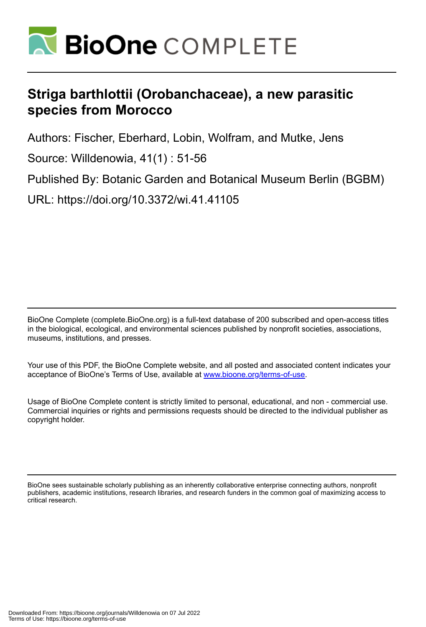

# **Striga barthlottii (Orobanchaceae), a new parasitic species from Morocco**

Authors: Fischer, Eberhard, Lobin, Wolfram, and Mutke, Jens

Source: Willdenowia, 41(1) : 51-56

Published By: Botanic Garden and Botanical Museum Berlin (BGBM)

URL: https://doi.org/10.3372/wi.41.41105

BioOne Complete (complete.BioOne.org) is a full-text database of 200 subscribed and open-access titles in the biological, ecological, and environmental sciences published by nonprofit societies, associations, museums, institutions, and presses.

Your use of this PDF, the BioOne Complete website, and all posted and associated content indicates your acceptance of BioOne's Terms of Use, available at www.bioone.org/terms-of-use.

Usage of BioOne Complete content is strictly limited to personal, educational, and non - commercial use. Commercial inquiries or rights and permissions requests should be directed to the individual publisher as copyright holder.

BioOne sees sustainable scholarly publishing as an inherently collaborative enterprise connecting authors, nonprofit publishers, academic institutions, research libraries, and research funders in the common goal of maximizing access to critical research.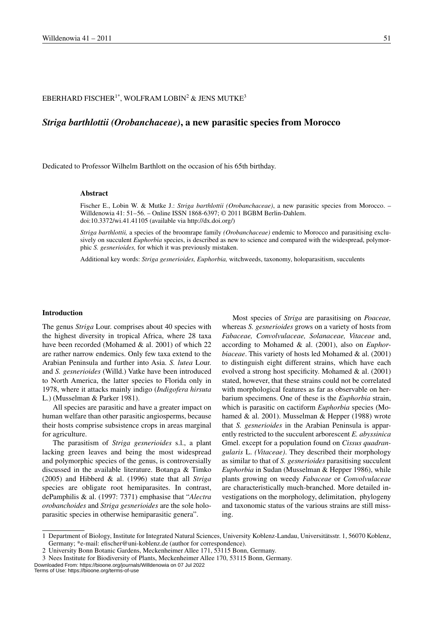# EBERHARD FISCHER $^{1*}$ , WOLFRAM LOBIN $^2$  & JENS MUTKE $^3$

# *Striga barthlottii (Orobanchaceae)***, a new parasitic species from Morocco**

Dedicated to Professor Wilhelm Barthlott on the occasion of his 65th birthday.

#### **Abstract**

Fischer E., Lobin W. & Mutke J.: *Striga barthlottii (Orobanchaceae)*, a new parasitic species from Morocco. – Willdenowia 41: 51–56. – Online ISSN 1868-6397; © 2011 BGBM Berlin-Dahlem. doi:10.3372/wi.41.41105 (available via http://dx.doi.org/)

*Striga barthlottii,* a species of the broomrape family *(Orobanchaceae)* endemic to Morocco and parasitising exclusively on succulent *Euphorbia* species, is described as new to science and compared with the widespread, polymorphic *S. gesnerioides,* for which it was previously mistaken.

Additional key words: *Striga gesnerioides, Euphorbia,* witchweeds, taxonomy, holoparasitism, succulents

#### **Introduction**

The genus *Striga* Lour. comprises about 40 species with the highest diversity in tropical Africa, where 28 taxa have been recorded (Mohamed & al. 2001) of which 22 are rather narrow endemics. Only few taxa extend to the Arabian Peninsula and further into Asia. *S. lutea* Lour. and *S. gesnerioides* (Willd.) Vatke have been introduced to North America, the latter species to Florida only in 1978, where it attacks mainly indigo (*Indigofera hirsuta* L.) (Musselman & Parker 1981).

All species are parasitic and have a greater impact on human welfare than other parasitic angiosperms, because their hosts comprise subsistence crops in areas marginal for agriculture.

The parasitism of *Striga gesnerioides* s.l., a plant lacking green leaves and being the most widespread and polymorphic species of the genus, is controversially discussed in the available literature. Botanga & Timko (2005) and Hibberd & al. (1996) state that all *Striga* species are obligate root hemiparasites. In contrast, dePamphilis & al. (1997: 7371) emphasise that "*Alectra orobanchoides* and *Striga gesnerioides* are the sole holoparasitic species in otherwise hemiparasitic genera".

Most species of *Striga* are parasitising on *Poaceae,*  whereas *S. gesnerioides* grows on a variety of hosts from *Fabaceae, Convolvulaceae, Solanaceae, Vitaceae* and, according to Mohamed & al. (2001), also on *Euphorbiaceae*. This variety of hosts led Mohamed & al. (2001) to distinguish eight different strains, which have each evolved a strong host specificity. Mohamed & al. (2001) stated, however, that these strains could not be correlated with morphological features as far as observable on herbarium specimens. One of these is the *Euphorbia* strain, which is parasitic on cactiform *Euphorbia* species (Mohamed & al. 2001). Musselman & Hepper (1988) wrote that *S. gesnerioides* in the Arabian Peninsula is apparently restricted to the succulent arborescent *E. abyssinica* Gmel. except for a population found on *Cissus quadrangularis* L. *(Vitaceae)*. They described their morphology as similar to that of *S. gesnerioides* parasitising succulent *Euphorbia* in Sudan (Musselman & Hepper 1986), while plants growing on weedy *Fabaceae* or *Convolvulaceae*  are characteristically much-branched. More detailed investigations on the morphology, delimitation, phylogeny and taxonomic status of the various strains are still missing.

Downloaded From: https://bioone.org/journals/Willdenowia on 07 Jul 2022 Terms of Use: https://bioone.org/terms-of-use

<sup>1</sup> Department of Biology, Institute for Integrated Natural Sciences, University Koblenz-Landau, Universitätsstr. 1, 56070 Koblenz, Germany; \*e-mail: efischer@uni-koblenz.de (author for correspondence).

<sup>2</sup> University Bonn Botanic Gardens, Meckenheimer Allee 171, 53115 Bonn, Germany.

<sup>3</sup> Nees Institute for Biodiversity of Plants, Meckenheimer Allee 170, 53115 Bonn, Germany.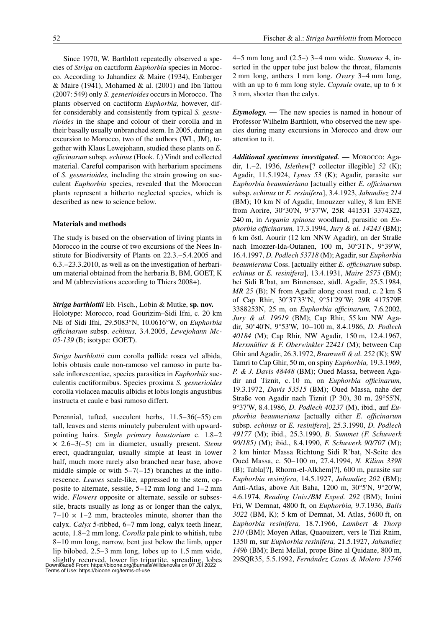Since 1970, W. Barthlott repeatedly observed a species of *Striga* on cactiform *Euphorbia* species in Morocco. According to Jahandiez & Maire (1934), Emberger  $&$  Maire (1941), Mohamed  $&$  al. (2001) and Ibn Tattou (2007: 549) only *S. gesnerioides* occurs in Morocco. The plants observed on cactiform *Euphorbia,* however, differ considerably and consistently from typical *S. gesnerioides* in the shape and colour of their corolla and in their basally usually unbranched stem. In 2005, during an excursion to Morocco, two of the authors (WL, JM), together with Klaus Lewejohann, studied these plants on *E. officinarum* subsp. *echinus* (Hook. f.) Vindt and collected

material. Careful comparison with herbarium specimens of *S. gesnerioides,* including the strain growing on succulent *Euphorbia* species, revealed that the Moroccan plants represent a hitherto neglected species, which is described as new to science below.

## **Materials and methods**

The study is based on the observation of living plants in Morocco in the course of two excursions of the Nees Institute for Biodiversity of Plants on 22.3.–5.4.2005 and 6.3.–23.3.2010, as well as on the investigation of herbarium material obtained from the herbaria B, BM, GOET, K and M (abbreviations according to Thiers 2008+).

*Striga barthlottii* Eb. Fisch., Lobin & Mutke, **sp. nov.** Holotype: Morocco, road Gourizim–Sidi Ifni, c. 20 km NE of Sidi Ifni, 29.5083°N, 10.0616°W, on *Euphorbia officinarum* subsp. *echinus,* 3.4.2005, *Lewejohann Mc-05-139* (B; isotype: GOET).

*Striga barthlottii* cum corolla pallide rosea vel albida, lobis obtusis caule non-ramoso vel ramoso in parte basale inflorescentiae, species parasitica in *Euphorbiis* succulentis cactiformibus. Species proxima *S. gesnerioides* corolla violacea maculis albidis et lobis longis angustibus instructa et caule e basi ramoso differt.

Perennial, tufted, succulent herbs, 11.5–36(–55) cm tall, leaves and stems minutely puberulent with upwardpointing hairs. *Single primary haustorium* c. 1.8–2 × 2.6–3(–5) cm in diameter, usually present. *Stems* erect, quadrangular, usually simple at least in lower half, much more rarely also branched near base, above middle simple or with  $5-7(-15)$  branches at the inflorescence. *Leaves* scale-like, appressed to the stem, opposite to alternate, sessile, 5–12 mm long and 1–2 mm wide. *Flowers* opposite or alternate, sessile or subsessile, bracts usually as long as or longer than the calyx,  $7-10 \times 1-2$  mm, bracteoles minute, shorter than the calyx. *Calyx* 5-ribbed, 6–7 mm long, calyx teeth linear, acute, 1.8–2 mm long. *Corolla* pale pink to whitish, tube 8–10 mm long, narrow, bent just below the limb, upper lip bilobed, 2.5–3 mm long, lobes up to 1.5 mm wide, slightly recurved, lower lip tripartite, spreading, lobes Downloaded From: https://bioone.org/journals/Willdenowia on 07 Jul 2022 Terms of Use: https://bioone.org/terms-of-use 4–5 mm long and (2.5–) 3–4 mm wide. *Stamens* 4, inserted in the upper tube just below the throat, filaments 2 mm long, anthers 1 mm long. *Ovary* 3–4 mm long, with an up to 6 mm long style. *Capsule* ovate, up to 6 × 3 mm, shorter than the calyx.

*Etymology. —* The new species is named in honour of Professor Wilhelm Barthlott, who observed the new species during many excursions in Morocco and drew our attention to it.

*Additional specimens investigated. —* Morocco: Agadir, 1.–2. 1936, *Islethew*[? collector illegible] *52* (K); Agadir, 11.5.1924, *Lynes 53* (K); Agadir, parasite sur *Euphorbia beaumieriana* [actually either *E. officinarum* subsp. *echinus* or *E. resinifera*], 3.4.1923, *Jahandiez 214* (BM); 10 km N of Agadir, Imouzzer valley, 8 km ENE from Aorire, 30°30'N, 9°37'W, 25R 441531 3374322, 240 m, in *Argania spinosa* woodland, parasitic on *Euphorbia officinarum,* 17.3.1994, *Jury & al. 14243* (BM); 6 km östl. Aourir (12 km NNW Agadir), an der Straße nach Imozzer-Ida-Outanen, 100 m, 30°31'N, 9°39'W, 16.4.1997, *D. Podlech 53718* (M); Agadir, sur *Euphorbia beaumierana* Coss. [actually either *E. officinarum* subsp. *echinus* or *E. resinifera*], 13.4.1931, *Maire 2575* (BM); bei Sidi R'bat, am Binnensee, südl. Agadir, 25.5.1984, *MR 25* (B); N from Agadir along coast road, c. 2 km S of Cap Rhir, 30°37'33''N, 9°51'29''W; 29R 417579E 3388253N, 25 m, on *Euphorbia officinarum,* 7.6.2002, *Jury & al. 19619* (BM); Cap Rhir, 55 km NW Agadir, 30°40'N, 9°53'W, 10–100 m, 8.4.1986, *D. Podlech 40184* (M); Cap Rhir, NW Agadir, 150 m, 12.4.1967, *Merxmüller & F. Oberwinkler 22421* (M); between Cap Ghir and Agadir, 26.3.1972, *Bramwell & al. 252* (K); SW Tamri to Cap Ghir, 50 m, on spiny *Euphorbia,* 19.3.1969, *P. & J. Davis 48448* (BM); Oued Massa, between Agadir and Tiznit, c. 10 m, on *Euphorbia officinarum,* 19.3.1972, *Davis 53515* (BM); Oued Massa, nahe der Straße von Agadir nach Tiznit (P 30), 30 m, 29°55'N, 9°37'W, 8.4.1986, *D. Podlech 40237* (M), ibid., auf *Euphorbia beaumeriana* [actually either *E. officinarum* subsp. *echinus* or *E. resinifera*], 25.3.1990, *D. Podlech 49177* (M); ibid., 25.3.1990, *B. Summet (F. Schuwerk 90/185)* (M); ibid., 8.4.1990, *F. Schuwerk 90/707* (M); 2 km hinter Massa Richtung Sidi R'bat, N-Seite des Oued Massa, c. 50–100 m, 27.4.1994, *N. Kilian 3398* (B); Tabla[?], Rhorm-el-Alkhem[?], 600 m, parasite sur *Euphorbia resinifera,* 14.5.1927, *Jahandiez 202* (BM); Anti-Atlas, above Ait Baha, 1200 m, 30°5'N, 9°20'W, 4.6.1974, *Reading Univ./BM Exped. 292* (BM); Imini Fri, W Demnat, 4800 ft, on *Euphorbia,* 9.7.1936, *Balls 3022* (BM, K); 5 km of Demnat, M. Atlas, 5600 ft, on *Euphorbia resinifera,* 18.7.1966, *Lambert & Thorp 210* (BM); Moyen Atlas, Quaouizert, vers le Tizi Rnim, 1350 m, sur *Euphorbia resinifera,* 21.5.1927, *Jahandiez 149b* (BM); Beni Mellal, prope Bine al Quidane, 800 m, 29SQR35, 5.5.1992, *Fernández Casas & Molero 13746*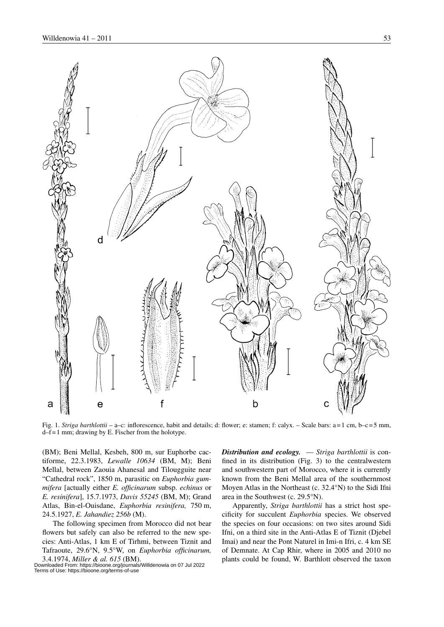

Fig. 1. *Striga barthlottii* – a–c: inflorescence, habit and details; d: flower; e: stamen; f: calyx. – Scale bars: a=1 cm, b–c=5 mm, d–f=1 mm; drawing by E. Fischer from the holotype.

(BM); Beni Mellal, Kesbeh, 800 m, sur Euphorbe cactiforme, 22.3.1983, *Lewalle 10634* (BM, M); Beni Mellal, between Zaouia Ahanesal and Tilougguite near "Cathedral rock", 1850 m, parasitic on *Euphorbia gummifera* [actually either *E. officinarum* subsp. *echinus* or *E. resinifera*], 15.7.1973, *Davis 55245* (BM, M); Grand Atlas, Bin-el-Ouisdane, *Euphorbia resinifera,* 750 m, 24.5.1927, *E. Jahandiez 256b* (M).

The following specimen from Morocco did not bear flowers but safely can also be referred to the new species: Anti-Atlas, 1 km E of Tirhmi, between Tiznit and Tafraoute, 29.6°N, 9.5°W, on *Euphorbia officinarum,*  3.4.1974, *Miller & al. 615* (BM).

Downloaded From: https://bioone.org/journals/Willdenowia on 07 Jul 2022 Terms of Use: https://bioone.org/terms-of-use

*Distribution and ecology.* — *Striga barthlottii* is confined in its distribution (Fig. 3) to the centralwestern and southwestern part of Morocco, where it is currently known from the Beni Mellal area of the southernmost Moyen Atlas in the Northeast (c. 32.4°N) to the Sidi Ifni area in the Southwest (c. 29.5°N).

Apparently, *Striga barthlottii* has a strict host specificity for succulent *Euphorbia* species. We observed the species on four occasions: on two sites around Sidi Ifni, on a third site in the Anti-Atlas E of Tiznit (Djebel Imai) and near the Pont Naturel in Imi-n Ifri, c. 4 km SE of Demnate. At Cap Rhir, where in 2005 and 2010 no plants could be found, W. Barthlott observed the taxon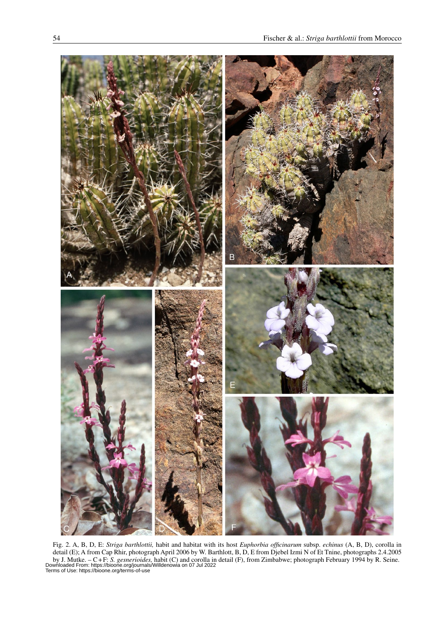

Fig. 2. A, B, D, E: *Striga barthlottii,* habit and habitat with its host *Euphorbia officinarum* subsp. *echinus* (A, B, D), corolla in detail (E); A from Cap Rhir, photograph April 2006 by W. Barthlott, B, D, E from Djebel Izmi N of Et Tnine, photographs 2.4.2005 by J. Mutke. – C+F: S. *gesnerioides*, habit (C) and corolla in detail (F), from Zimbabwe; photograph February 1994 by R. Seine.<br>Downloaded From: https://bioone.org/journals/Willdenowia on 07 Jul 2022<br>Terms of Use: https:/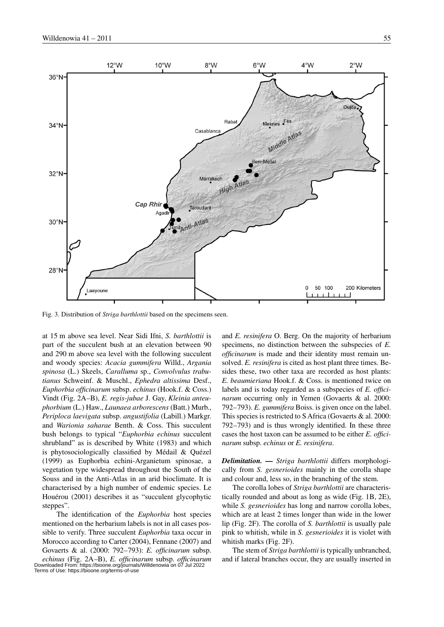

Fig. 3. Distribution of *Striga barthlottii* based on the specimens seen.

at 15 m above sea level. Near Sidi Ifni, *S. barthlottii* is part of the succulent bush at an elevation between 90 and 290 m above sea level with the following succulent and woody species: *Acacia gummifera* Willd., *Argania spinosa* (L.) Skeels, *Caralluma* sp., *Convolvulus trabutianus* Schweinf. & Muschl., *Ephedra altissima* Desf., *Euphorbia officinarum* subsp. *echinus* (Hook.f. & Coss.) Vindt (Fig. 2A –B), *E. regis-jubae* J. Gay, *Kleinia anteuphorbium* (L.) Haw., *Launaea arborescens* (Batt.) Murb., *Periploca laevigata* subsp. *angustifolia* (Labill.) Markgr. and *Warionia saharae* Benth. & Coss. This succulent bush belongs to typical "*Euphorbia echinus* succulent shrubland" as is described by White (1983) and which is phytosociologically classified by Médail & Quézel (1999) as Euphorbia echini-Arganietum spinosae, a vegetation type widespread throughout the South of the Souss and in the Anti-Atlas in an arid bioclimate. It is characterised by a high number of endemic species. Le Houérou (2001) describes it as "succulent glycophytic steppes".

The identification of the *Euphorbia* host species mentioned on the herbarium labels is not in all cases possible to verify. Three succulent *Euphorbia* taxa occur in Morocco according to Carter (2004), Fennane (2007) and Govaerts & al. (2000: 792–793): *E. officinarum* subsp. *echinus* (Fig. 2A –B), *E. officinarum* subsp. *officinarum* Downloaded From: https://bioone.org/journals/Willdenowia on 07 Jul 2022 Terms of Use: https://bioone.org/terms-of-use

and *E. resinifera* O. Berg. On the majority of herbarium specimens, no distinction between the subspecies of *E. officinarum* is made and their identity must remain unsolved. *E. resinifera* is cited as host plant three times. Besides these, two other taxa are recorded as host plants: *E. beaumieriana* Hook.f. & Coss. is mentioned twice on labels and is today regarded as a subspecies of *E. officinarum* occurring only in Yemen (Govaerts & al. 2000: 792–793). *E. gummifera* Boiss. is given once on the label. This species is restricted to S Africa (Govaerts & al. 2000: 792–793) and is thus wrongly identified. In these three cases the host taxon can be assumed to be either *E. officinarum* subsp. *echinus* or *E. resinifera*.

*Delimitation. — Striga barthlottii* differs morphologically from *S. gesnerioides* mainly in the corolla shape and colour and, less so, in the branching of the stem.

The corolla lobes of *Striga barthlottii* are characteristically rounded and about as long as wide (Fig. 1B, 2E), while *S. gesnerioides* has long and narrow corolla lobes, which are at least 2 times longer than wide in the lower lip (Fig. 2F). The corolla of *S. barthlottii* is usually pale pink to whitish, while in *S. gesnerioides* it is violet with whitish marks (Fig. 2F).

The stem of *Striga barthlottii* is typically unbranched, and if lateral branches occur, they are usually inserted in